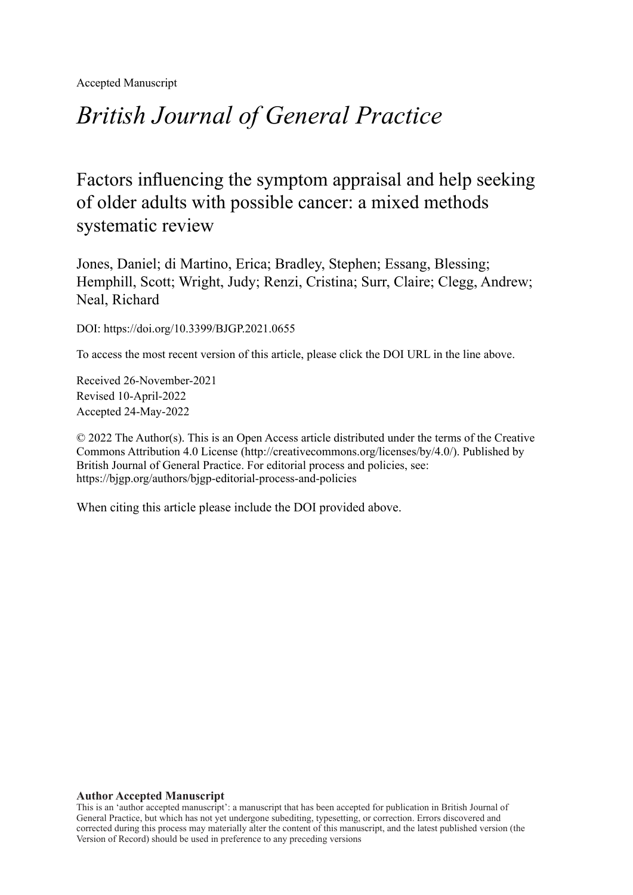Accepted Manuscript

# *British Journal of General Practice*

Factors influencing the symptom appraisal and help seeking of older adults with possible cancer: a mixed methods systematic review

Jones, Daniel; di Martino, Erica; Bradley, Stephen; Essang, Blessing; Hemphill, Scott; Wright, Judy; Renzi, Cristina; Surr, Claire; Clegg, Andrew; Neal, Richard

DOI: https://doi.org/10.3399/BJGP.2021.0655

To access the most recent version of this article, please click the DOI URL in the line above.

Received 26-November-2021 Revised 10-April-2022 Accepted 24-May-2022

© 2022 The Author(s). This is an Open Access article distributed under the terms of the Creative Commons Attribution 4.0 License [\(http://creativecommons.org/licenses/by/4.0/](http://creativecommons.org/licenses/by/4.0/)). Published by British Journal of General Practice. For editorial process and policies, see: <https://bjgp.org/authors/bjgp-editorial-process-and-policies>

When citing this article please include the DOI provided above.

#### **Author Accepted Manuscript**

This is an 'author accepted manuscript': a manuscript that has been accepted for publication in British Journal of General Practice, but which has not yet undergone subediting, typesetting, or correction. Errors discovered and corrected during this process may materially alter the content of this manuscript, and the latest published version (the Version of Record) should be used in preference to any preceding versions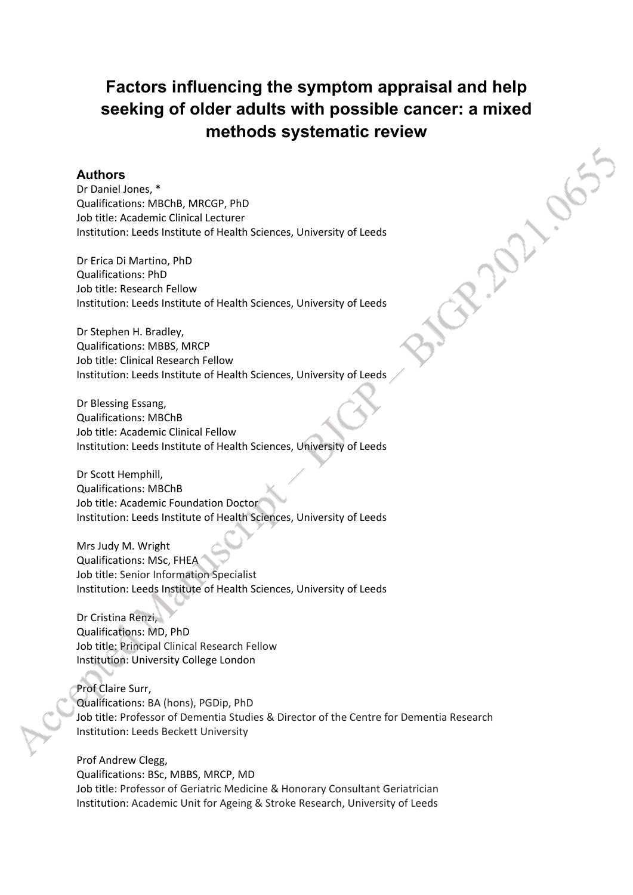# **Factors influencing the symptom appraisal and help seeking of older adults with possible cancer: a mixed methods systematic review**

#### **Authors**

Dr Daniel Jones, \* Qualifications: MBChB, MRCGP, PhD Job title: Academic Clinical Lecturer Institution: Leeds Institute of Health Sciences, University of Leeds

Dr Erica Di Martino, PhD Qualifications: PhD Job title: Research Fellow Institution: Leeds Institute of Health Sciences, University of Leeds

Dr Stephen H. Bradley, Qualifications: MBBS, MRCP Job title: Clinical Research Fellow Institution: Leeds Institute of Health Sciences, University of Leeds

Dr Blessing Essang, Qualifications: MBChB Job title: Academic Clinical Fellow Institution: Leeds Institute of Health Sciences, University of Leeds

Dr Scott Hemphill, Qualifications: MBChB Job title: Academic Foundation Doctor Institution: Leeds Institute of Health Sciences, University of Leeds

Mrs Judy M. Wright Qualifications: MSc, FHEA Job title: Senior Information Specialist Institution: Leeds Institute of Health Sciences, University of Leeds

Dr Cristina Renzi, Qualifications: MD, PhD Job title: Principal Clinical Research Fellow Institution: University College London

Prof Claire Surr, Qualifications: BA (hons), PGDip, PhD Job title: Professor of Dementia Studies & Director of the Centre for Dementia Research Institution: Leeds Beckett University

Prof Andrew Clegg, Qualifications: BSc, MBBS, MRCP, MD Job title: Professor of Geriatric Medicine & Honorary Consultant Geriatrician Institution: Academic Unit for Ageing & Stroke Research, University of Leeds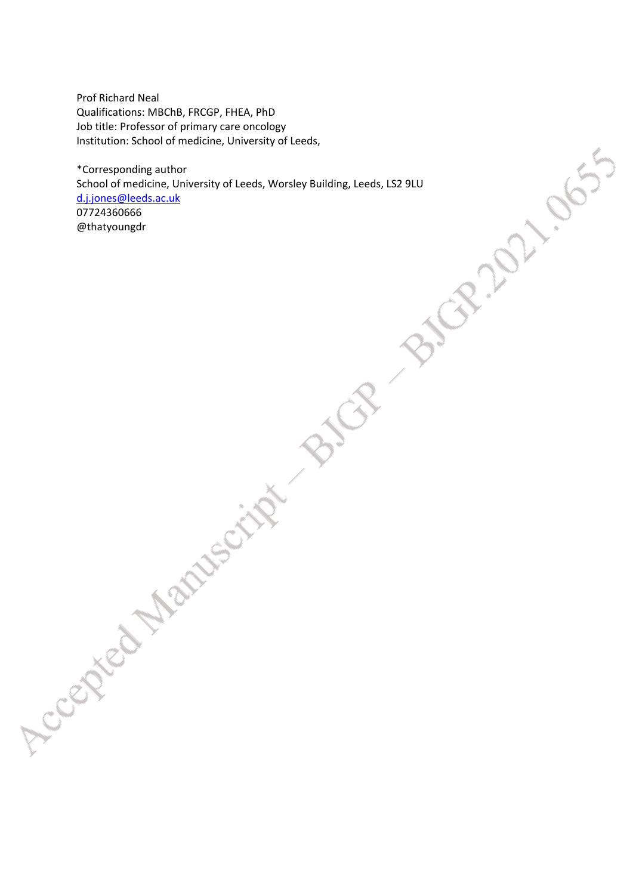Prof Richard Neal Qualifications: MBChB, FRCGP, FHEA, PhD Job title: Professor of primary care oncology Institution: School of medicine, University of Leeds,

\*Corresponding author School of medicine, University of Leeds, Worsley Building, Leeds, LS2 9LU [d.j.jones@leeds.ac.uk](mailto:d.j.jones@leeds.ac.uk) 07724360666 @thatyoungdr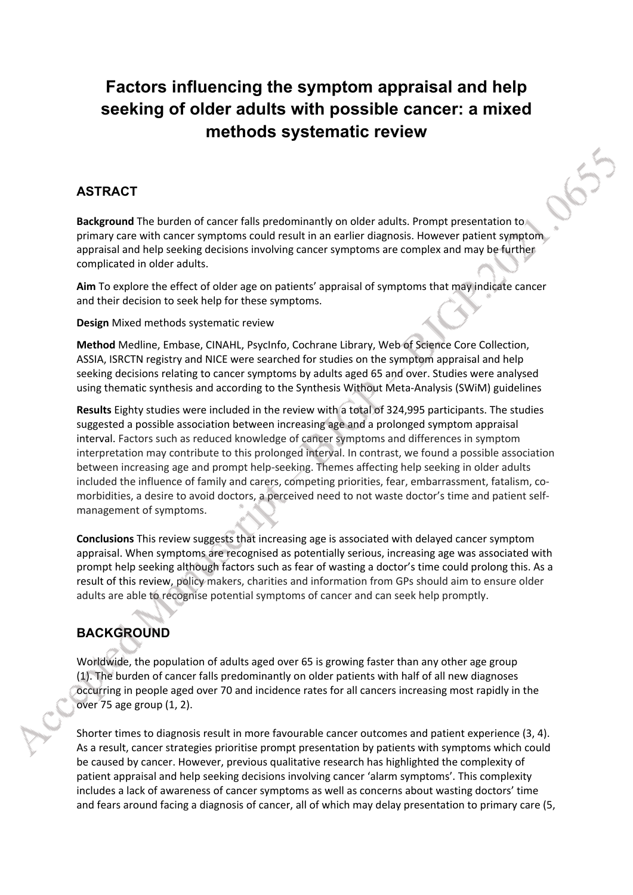# **Factors influencing the symptom appraisal and help seeking of older adults with possible cancer: a mixed methods systematic review**

655

### **ASTRACT**

**Background** The burden of cancer falls predominantly on older adults. Prompt presentation to primary care with cancer symptoms could result in an earlier diagnosis. However patient symptom appraisal and help seeking decisions involving cancer symptoms are complex and may be further complicated in older adults.

**Aim** To explore the effect of older age on patients' appraisal of symptoms that may indicate cancer and their decision to seek help for these symptoms.

**Design** Mixed methods systematic review

**Method** Medline, Embase, CINAHL, PsycInfo, Cochrane Library, Web of Science Core Collection, ASSIA, ISRCTN registry and NICE were searched for studies on the symptom appraisal and help seeking decisions relating to cancer symptoms by adults aged 65 and over. Studies were analysed using thematic synthesis and according to the Synthesis Without Meta-Analysis (SWiM) guidelines

**Results** Eighty studies were included in the review with a total of 324,995 participants. The studies suggested a possible association between increasing age and a prolonged symptom appraisal interval. Factors such as reduced knowledge of cancer symptoms and differences in symptom interpretation may contribute to this prolonged interval. In contrast, we found a possible association between increasing age and prompt help-seeking. Themes affecting help seeking in older adults included the influence of family and carers, competing priorities, fear, embarrassment, fatalism, comorbidities, a desire to avoid doctors, a perceived need to not waste doctor's time and patient selfmanagement of symptoms.

**Conclusions** This review suggests that increasing age is associated with delayed cancer symptom appraisal. When symptoms are recognised as potentially serious, increasing age was associated with prompt help seeking although factors such as fear of wasting a doctor's time could prolong this. As a result of this review, policy makers, charities and information from GPs should aim to ensure older adults are able to recognise potential symptoms of cancer and can seek help promptly.

### **BACKGROUND**

Worldwide, the population of adults aged over 65 is growing faster than any other age group (1). The burden of cancer falls predominantly on older patients with half of all new diagnoses occurring in people aged over 70 and incidence rates for all cancers increasing most rapidly in the over 75 age group (1, 2).

Shorter times to diagnosis result in more favourable cancer outcomes and patient experience (3, 4). As a result, cancer strategies prioritise prompt presentation by patients with symptoms which could be caused by cancer. However, previous qualitative research has highlighted the complexity of patient appraisal and help seeking decisions involving cancer 'alarm symptoms'. This complexity includes a lack of awareness of cancer symptoms as well as concerns about wasting doctors' time and fears around facing a diagnosis of cancer, all of which may delay presentation to primary care (5,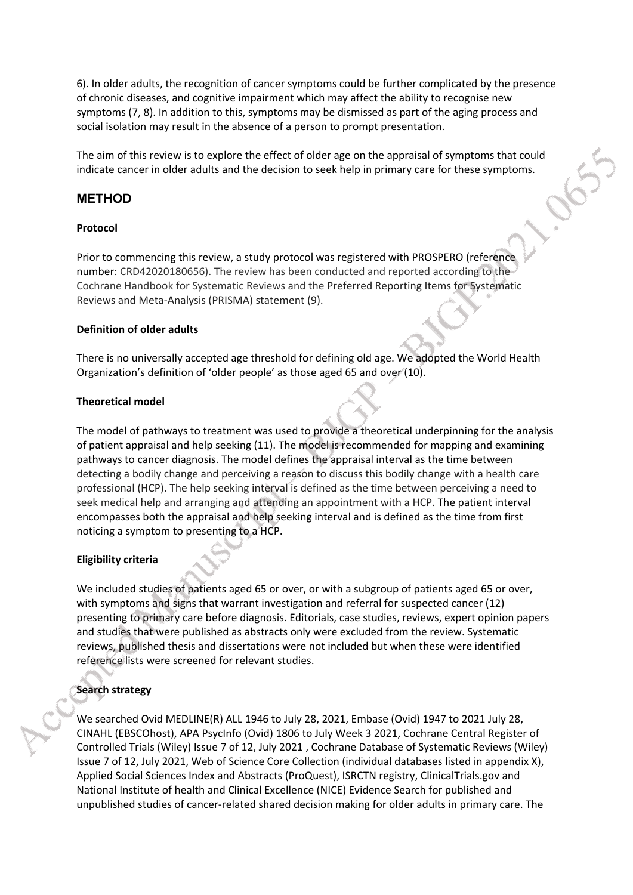6). In older adults, the recognition of cancer symptoms could be further complicated by the presence of chronic diseases, and cognitive impairment which may affect the ability to recognise new symptoms (7, 8). In addition to this, symptoms may be dismissed as part of the aging process and social isolation may result in the absence of a person to prompt presentation.

The aim of this review is to explore the effect of older age on the appraisal of symptoms that could indicate cancer in older adults and the decision to seek help in primary care for these symptoms.

#### **METHOD**

#### **Protocol**

Prior to commencing this review, a study protocol was registered with PROSPERO (reference number: CRD42020180656). The review has been conducted and reported according to the Cochrane Handbook for Systematic Reviews and the Preferred Reporting Items for Systematic Reviews and Meta-Analysis (PRISMA) statement (9).

#### **Definition of older adults**

There is no universally accepted age threshold for defining old age. We adopted the World Health Organization's definition of 'older people' as those aged 65 and over (10).

#### **Theoretical model**

The model of pathways to treatment was used to provide a theoretical underpinning for the analysis of patient appraisal and help seeking (11). The model is recommended for mapping and examining pathways to cancer diagnosis. The model defines the appraisal interval as the time between detecting a bodily change and perceiving a reason to discuss this bodily change with a health care professional (HCP). The help seeking interval is defined as the time between perceiving a need to seek medical help and arranging and attending an appointment with a HCP. The patient interval encompasses both the appraisal and help seeking interval and is defined as the time from first noticing a symptom to presenting to a HCP.

#### **Eligibility criteria**

We included studies of patients aged 65 or over, or with a subgroup of patients aged 65 or over, with symptoms and signs that warrant investigation and referral for suspected cancer (12) presenting to primary care before diagnosis. Editorials, case studies, reviews, expert opinion papers and studies that were published as abstracts only were excluded from the review. Systematic reviews, published thesis and dissertations were not included but when these were identified reference lists were screened for relevant studies.

#### **Search strategy**

We searched Ovid MEDLINE(R) ALL 1946 to July 28, 2021, Embase (Ovid) 1947 to 2021 July 28, CINAHL (EBSCOhost), APA PsycInfo (Ovid) 1806 to July Week 3 2021, Cochrane Central Register of Controlled Trials (Wiley) Issue 7 of 12, July 2021 , Cochrane Database of Systematic Reviews (Wiley) Issue 7 of 12, July 2021, Web of Science Core Collection (individual databases listed in appendix X), Applied Social Sciences Index and Abstracts (ProQuest), ISRCTN registry, ClinicalTrials.gov and National Institute of health and Clinical Excellence (NICE) Evidence Search for published and unpublished studies of cancer-related shared decision making for older adults in primary care. The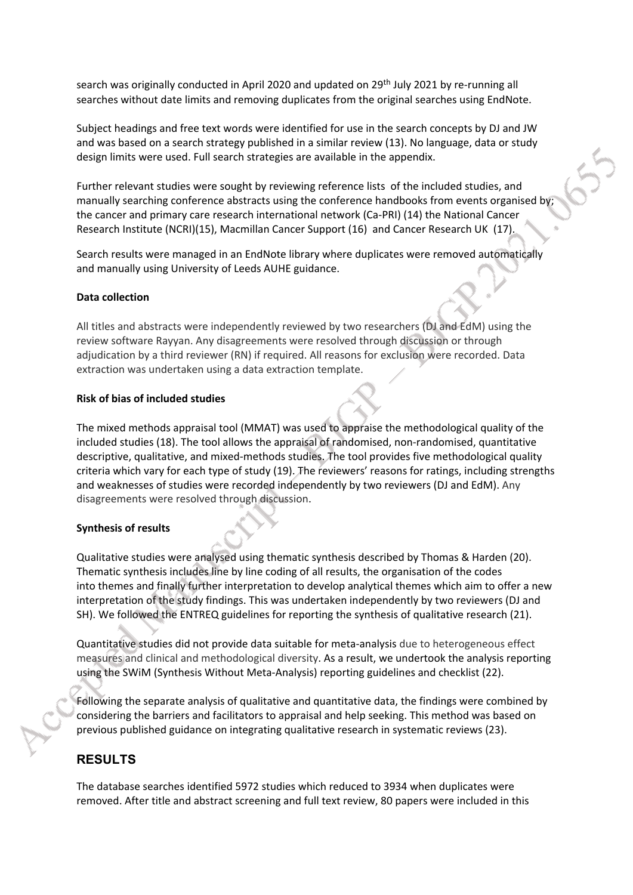search was originally conducted in April 2020 and updated on 29<sup>th</sup> July 2021 by re-running all searches without date limits and removing duplicates from the original searches using EndNote.

Subject headings and free text words were identified for use in the search concepts by DJ and JW and was based on a search strategy published in a similar review (13). No language, data or study design limits were used. Full search strategies are available in the appendix.

Further relevant studies were sought by reviewing reference lists of the included studies, and manually searching conference abstracts using the conference handbooks from events organised by; the cancer and primary care research international network (Ca-PRI) (14) the National Cancer Research Institute (NCRI)(15), Macmillan Cancer Support (16) and Cancer Research UK (17).

Search results were managed in an EndNote library where duplicates were removed automatically and manually using University of Leeds AUHE guidance.

#### **Data collection**

All titles and abstracts were independently reviewed by two researchers (DJ and EdM) using the review software Rayyan. Any disagreements were resolved through discussion or through adjudication by a third reviewer (RN) if required. All reasons for exclusion were recorded. Data extraction was undertaken using a data extraction template.

#### **Risk of bias of included studies**

The mixed methods appraisal tool (MMAT) was used to appraise the methodological quality of the included studies (18). The tool allows the appraisal of randomised, non-randomised, quantitative descriptive, qualitative, and mixed-methods studies. The tool provides five methodological quality criteria which vary for each type of study (19). The reviewers' reasons for ratings, including strengths and weaknesses of studies were recorded independently by two reviewers (DJ and EdM). Any disagreements were resolved through discussion.

#### **Synthesis of results**

Qualitative studies were analysed using thematic synthesis described by Thomas & Harden (20). Thematic synthesis includes line by line coding of all results, the organisation of the codes into themes and finally further interpretation to develop analytical themes which aim to offer a new interpretation of the study findings. This was undertaken independently by two reviewers (DJ and SH). We followed the ENTREQ guidelines for reporting the synthesis of qualitative research (21).

Quantitative studies did not provide data suitable for meta-analysis due to heterogeneous effect measures and clinical and methodological diversity. As a result, we undertook the analysis reporting using the SWiM (Synthesis Without Meta-Analysis) reporting guidelines and checklist (22).

Following the separate analysis of qualitative and quantitative data, the findings were combined by considering the barriers and facilitators to appraisal and help seeking. This method was based on previous published guidance on integrating qualitative research in systematic reviews (23).

#### **RESULTS**

The database searches identified 5972 studies which reduced to 3934 when duplicates were removed. After title and abstract screening and full text review, 80 papers were included in this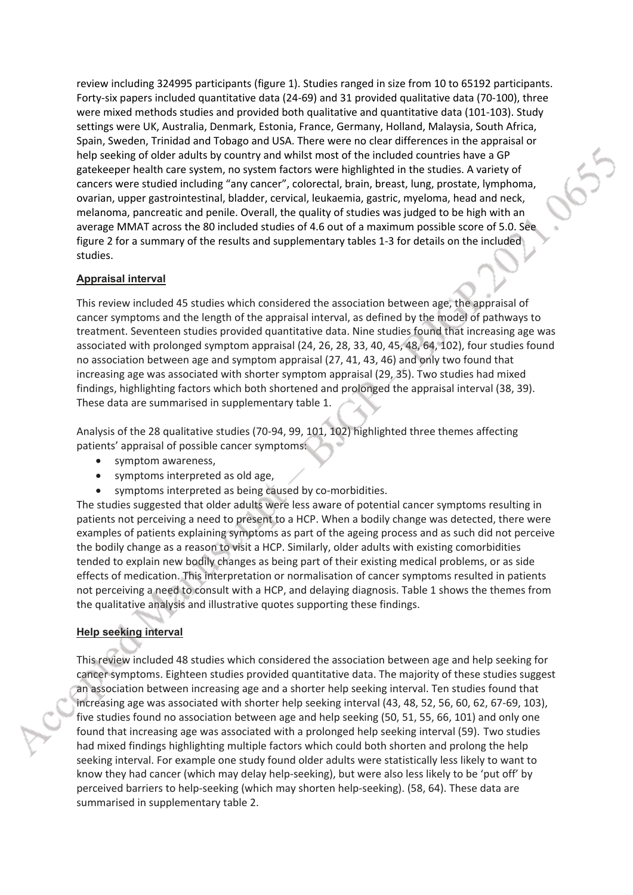review including 324995 participants (figure 1). Studies ranged in size from 10 to 65192 participants. Forty-six papers included quantitative data (24-69) and 31 provided qualitative data (70-100), three were mixed methods studies and provided both qualitative and quantitative data (101-103). Study settings were UK, Australia, Denmark, Estonia, France, Germany, Holland, Malaysia, South Africa, Spain, Sweden, Trinidad and Tobago and USA. There were no clear differences in the appraisal or help seeking of older adults by country and whilst most of the included countries have a GP gatekeeper health care system, no system factors were highlighted in the studies. A variety of cancers were studied including "any cancer", colorectal, brain, breast, lung, prostate, lymphoma, ovarian, upper gastrointestinal, bladder, cervical, leukaemia, gastric, myeloma, head and neck, melanoma, pancreatic and penile. Overall, the quality of studies was judged to be high with an average MMAT across the 80 included studies of 4.6 out of a maximum possible score of 5.0. See figure 2 for a summary of the results and supplementary tables 1-3 for details on the included studies.

#### **Appraisal interval**

This review included 45 studies which considered the association between age, the appraisal of cancer symptoms and the length of the appraisal interval, as defined by the model of pathways to treatment. Seventeen studies provided quantitative data. Nine studies found that increasing age was associated with prolonged symptom appraisal (24, 26, 28, 33, 40, 45, 48, 64, 102), four studies found no association between age and symptom appraisal (27, 41, 43, 46) and only two found that increasing age was associated with shorter symptom appraisal (29, 35). Two studies had mixed findings, highlighting factors which both shortened and prolonged the appraisal interval (38, 39). These data are summarised in supplementary table 1.

Analysis of the 28 qualitative studies (70-94, 99, 101, 102) highlighted three themes affecting patients' appraisal of possible cancer symptoms:

- symptom awareness,
- symptoms interpreted as old age,
- symptoms interpreted as being caused by co-morbidities.

The studies suggested that older adults were less aware of potential cancer symptoms resulting in patients not perceiving a need to present to a HCP. When a bodily change was detected, there were examples of patients explaining symptoms as part of the ageing process and as such did not perceive the bodily change as a reason to visit a HCP. Similarly, older adults with existing comorbidities tended to explain new bodily changes as being part of their existing medical problems, or as side effects of medication. This interpretation or normalisation of cancer symptoms resulted in patients not perceiving a need to consult with a HCP, and delaying diagnosis. Table 1 shows the themes from the qualitative analysis and illustrative quotes supporting these findings.

#### **Help seeking interval**

This review included 48 studies which considered the association between age and help seeking for cancer symptoms. Eighteen studies provided quantitative data. The majority of these studies suggest an association between increasing age and a shorter help seeking interval. Ten studies found that increasing age was associated with shorter help seeking interval (43, 48, 52, 56, 60, 62, 67-69, 103), five studies found no association between age and help seeking (50, 51, 55, 66, 101) and only one found that increasing age was associated with a prolonged help seeking interval (59). Two studies had mixed findings highlighting multiple factors which could both shorten and prolong the help seeking interval. For example one study found older adults were statistically less likely to want to know they had cancer (which may delay help-seeking), but were also less likely to be 'put off' by perceived barriers to help-seeking (which may shorten help-seeking). (58, 64). These data are summarised in supplementary table 2.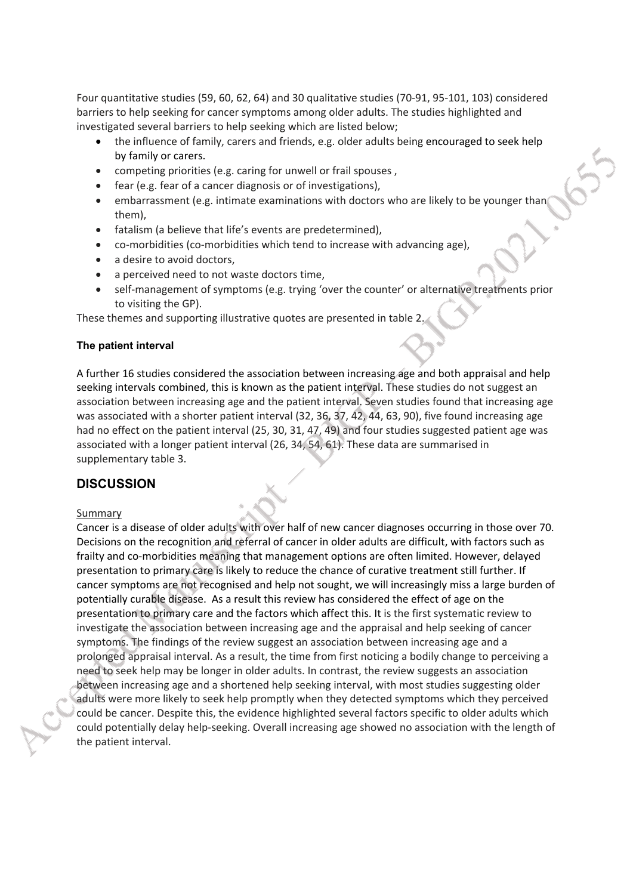Four quantitative studies (59, 60, 62, 64) and 30 qualitative studies (70-91, 95-101, 103) considered barriers to help seeking for cancer symptoms among older adults. The studies highlighted and investigated several barriers to help seeking which are listed below;

- the influence of family, carers and friends, e.g. older adults being encouraged to seek help by family or carers.
- competing priorities (e.g. caring for unwell or frail spouses ,
- fear (e.g. fear of a cancer diagnosis or of investigations),
- embarrassment (e.g. intimate examinations with doctors who are likely to be younger than them),
- fatalism (a believe that life's events are predetermined),
- co-morbidities (co-morbidities which tend to increase with advancing age),
- a desire to avoid doctors,
- a perceived need to not waste doctors time,
- self-management of symptoms (e.g. trying 'over the counter' or alternative treatments prior to visiting the GP).

These themes and supporting illustrative quotes are presented in table 2.

#### **The patient interval**

A further 16 studies considered the association between increasing age and both appraisal and help seeking intervals combined, this is known as the patient interval. These studies do not suggest an association between increasing age and the patient interval. Seven studies found that increasing age was associated with a shorter patient interval (32, 36, 37, 42, 44, 63, 90), five found increasing age had no effect on the patient interval (25, 30, 31, 47, 49) and four studies suggested patient age was associated with a longer patient interval (26, 34, 54, 61). These data are summarised in supplementary table 3.

#### **DISCUSSION**

#### **Summary**

Cancer is a disease of older adults with over half of new cancer diagnoses occurring in those over 70. Decisions on the recognition and referral of cancer in older adults are difficult, with factors such as frailty and co-morbidities meaning that management options are often limited. However, delayed presentation to primary care is likely to reduce the chance of curative treatment still further. If cancer symptoms are not recognised and help not sought, we will increasingly miss a large burden of potentially curable disease. As a result this review has considered the effect of age on the presentation to primary care and the factors which affect this. It is the first systematic review to investigate the association between increasing age and the appraisal and help seeking of cancer symptoms. The findings of the review suggest an association between increasing age and a prolonged appraisal interval. As a result, the time from first noticing a bodily change to perceiving a need to seek help may be longer in older adults. In contrast, the review suggests an association between increasing age and a shortened help seeking interval, with most studies suggesting older adults were more likely to seek help promptly when they detected symptoms which they perceived could be cancer. Despite this, the evidence highlighted several factors specific to older adults which could potentially delay help-seeking. Overall increasing age showed no association with the length of the patient interval.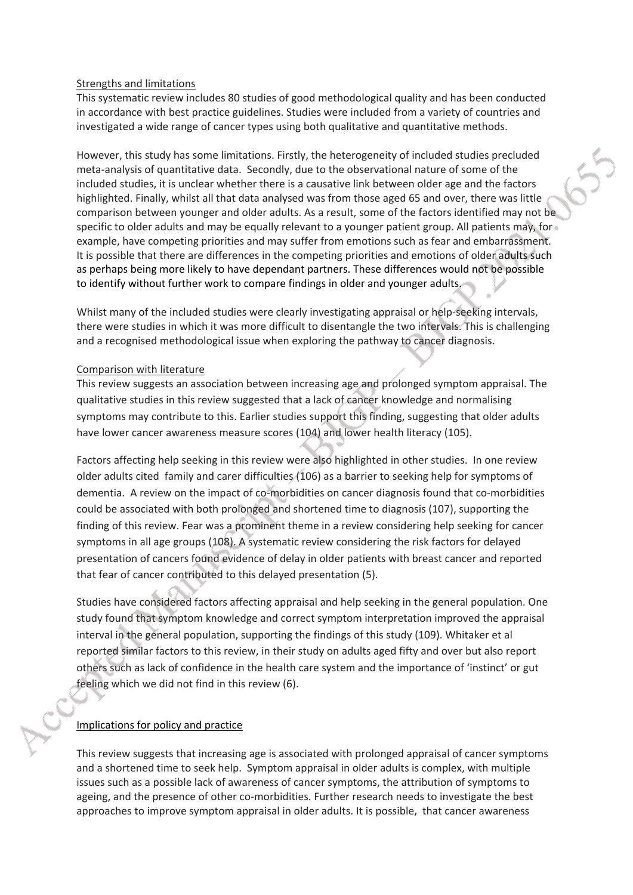#### Strengths and limitations

This systematic review includes 80 studies of good methodological quality and has been conducted in accordance with best practice guidelines. Studies were included from a variety of countries and investigated a wide range of cancer types using both qualitative and quantitative methods.

However, this study has some limitations. Firstly, the heterogeneity of included studies precluded meta-analysis of quantitative data. Secondly, due to the observational nature of some of the included studies, it is unclear whether there is a causative link between older age and the factors highlighted. Finally, whilst all that data analysed was from those aged 65 and over, there was little comparison between younger and older adults. As a result, some of the factors identified may not be specific to older adults and may be equally relevant to a younger patient group. All patients may, for example, have competing priorities and may suffer from emotions such as fear and embarrassment. It is possible that there are differences in the competing priorities and emotions of older adults such as perhaps being more likely to have dependant partners. These differences would not be possible to identify without further work to compare findings in older and younger adults.

Whilst many of the included studies were clearly investigating appraisal or help-seeking intervals, there were studies in which it was more difficult to disentangle the two intervals. This is challenging and a recognised methodological issue when exploring the pathway to cancer diagnosis.

#### Comparison with literature

This review suggests an association between increasing age and prolonged symptom appraisal. The qualitative studies in this review suggested that a lack of cancer knowledge and normalising symptoms may contribute to this. Earlier studies support this finding, suggesting that older adults have lower cancer awareness measure scores (104) and lower health literacy (105).

Factors affecting help seeking in this review were also highlighted in other studies. In one review older adults cited family and carer difficulties (106) as a barrier to seeking help for symptoms of dementia. A review on the impact of co-morbidities on cancer diagnosis found that co-morbidities could be associated with both prolonged and shortened time to diagnosis (107), supporting the finding of this review. Fear was a prominent theme in a review considering help seeking for cancer symptoms in all age groups (108). A systematic review considering the risk factors for delayed presentation of cancers found evidence of delay in older patients with breast cancer and reported that fear of cancer contributed to this delayed presentation (5).

Studies have considered factors affecting appraisal and help seeking in the general population. One study found that symptom knowledge and correct symptom interpretation improved the appraisal interval in the general population, supporting the findings of this study (109). Whitaker et al reported similar factors to this review, in their study on adults aged fifty and over but also report others such as lack of confidence in the health care system and the importance of 'instinct' or gut feeling which we did not find in this review (6).

#### Implications for policy and practice

This review suggests that increasing age is associated with prolonged appraisal of cancer symptoms and a shortened time to seek help. Symptom appraisal in older adults is complex, with multiple issues such as a possible lack of awareness of cancer symptoms, the attribution of symptoms to ageing, and the presence of other co-morbidities. Further research needs to investigate the best approaches to improve symptom appraisal in older adults. It is possible, that cancer awareness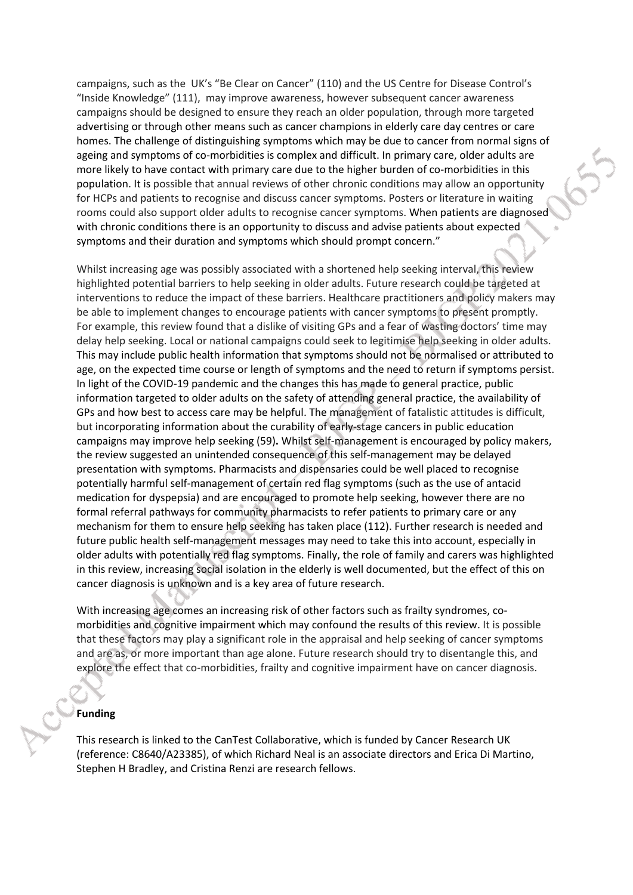campaigns, such as the UK's "Be Clear on Cancer" (110) and the US Centre for Disease Control's "Inside Knowledge" (111), may improve awareness, however subsequent cancer awareness campaigns should be designed to ensure they reach an older population, through more targeted advertising or through other means such as cancer champions in elderly care day centres or care homes. The challenge of distinguishing symptoms which may be due to cancer from normal signs of ageing and symptoms of co-morbidities is complex and difficult. In primary care, older adults are more likely to have contact with primary care due to the higher burden of co-morbidities in this population. It is possible that annual reviews of other chronic conditions may allow an opportunity for HCPs and patients to recognise and discuss cancer symptoms. Posters or literature in waiting rooms could also support older adults to recognise cancer symptoms. When patients are diagnosed with chronic conditions there is an opportunity to discuss and advise patients about expected symptoms and their duration and symptoms which should prompt concern."

Whilst increasing age was possibly associated with a shortened help seeking interval, this review highlighted potential barriers to help seeking in older adults. Future research could be targeted at interventions to reduce the impact of these barriers. Healthcare practitioners and policy makers may be able to implement changes to encourage patients with cancer symptoms to present promptly. For example, this review found that a dislike of visiting GPs and a fear of wasting doctors' time may delay help seeking. Local or national campaigns could seek to legitimise help seeking in older adults. This may include public health information that symptoms should not be normalised or attributed to age, on the expected time course or length of symptoms and the need to return if symptoms persist. In light of the COVID-19 pandemic and the changes this has made to general practice, public information targeted to older adults on the safety of attending general practice, the availability of GPs and how best to access care may be helpful. The management of fatalistic attitudes is difficult, but incorporating information about the curability of early-stage cancers in public education campaigns may improve help seeking (59)**.** Whilst self-management is encouraged by policy makers, the review suggested an unintended consequence of this self-management may be delayed presentation with symptoms. Pharmacists and dispensaries could be well placed to recognise potentially harmful self-management of certain red flag symptoms (such as the use of antacid medication for dyspepsia) and are encouraged to promote help seeking, however there are no formal referral pathways for community pharmacists to refer patients to primary care or any mechanism for them to ensure help seeking has taken place (112). Further research is needed and future public health self-management messages may need to take this into account, especially in older adults with potentially red flag symptoms. Finally, the role of family and carers was highlighted in this review, increasing social isolation in the elderly is well documented, but the effect of this on cancer diagnosis is unknown and is a key area of future research.

With increasing age comes an increasing risk of other factors such as frailty syndromes, comorbidities and cognitive impairment which may confound the results of this review. It is possible that these factors may play a significant role in the appraisal and help seeking of cancer symptoms and are as, or more important than age alone. Future research should try to disentangle this, and explore the effect that co-morbidities, frailty and cognitive impairment have on cancer diagnosis.

#### **Funding**

This research is linked to the CanTest Collaborative, which is funded by Cancer Research UK (reference: C8640/A23385), of which Richard Neal is an associate directors and Erica Di Martino, Stephen H Bradley, and Cristina Renzi are research fellows.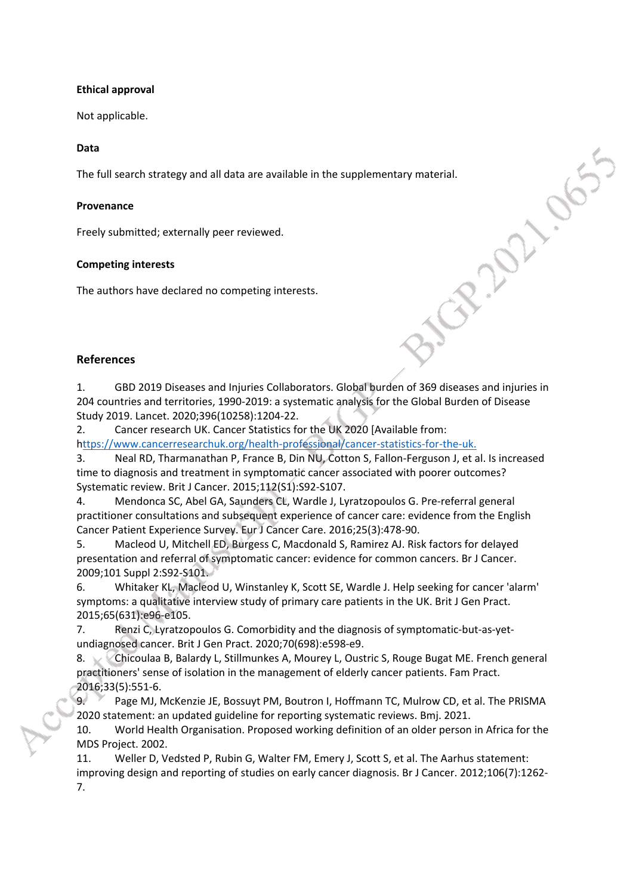#### **Ethical approval**

Not applicable.

#### **Data**

The full search strategy and all data are available in the supplementary material.

#### **Provenance**

Freely submitted; externally peer reviewed.

#### **Competing interests**

The authors have declared no competing interests.

#### **References**

1. GBD 2019 Diseases and Injuries Collaborators. Global burden of 369 diseases and injuries in 204 countries and territories, 1990-2019: a systematic analysis for the Global Burden of Disease Study 2019. Lancet. 2020;396(10258):1204-22.

Librication

2. Cancer research UK. Cancer Statistics for the UK 2020 [Available from:

h<ttps://www.cancerresearchuk.org/health-professional/cancer-statistics-for-the-uk.>

3. Neal RD, Tharmanathan P, France B, Din NU, Cotton S, Fallon-Ferguson J, et al. Is increased time to diagnosis and treatment in symptomatic cancer associated with poorer outcomes? Systematic review. Brit J Cancer. 2015;112(S1):S92-S107.

4. Mendonca SC, Abel GA, Saunders CL, Wardle J, Lyratzopoulos G. Pre-referral general practitioner consultations and subsequent experience of cancer care: evidence from the English Cancer Patient Experience Survey. Eur J Cancer Care. 2016;25(3):478-90.

5. Macleod U, Mitchell ED, Burgess C, Macdonald S, Ramirez AJ. Risk factors for delayed presentation and referral of symptomatic cancer: evidence for common cancers. Br J Cancer. 2009;101 Suppl 2:S92-S101.

6. Whitaker KL, Macleod U, Winstanley K, Scott SE, Wardle J. Help seeking for cancer 'alarm' symptoms: a qualitative interview study of primary care patients in the UK. Brit J Gen Pract. 2015;65(631):e96-e105.

7. Renzi C, Lyratzopoulos G. Comorbidity and the diagnosis of symptomatic-but-as-yetundiagnosed cancer. Brit J Gen Pract. 2020;70(698):e598-e9.

8. Chicoulaa B, Balardy L, Stillmunkes A, Mourey L, Oustric S, Rouge Bugat ME. French general practitioners' sense of isolation in the management of elderly cancer patients. Fam Pract. 2016;33(5):551-6.

9. Page MJ, McKenzie JE, Bossuyt PM, Boutron I, Hoffmann TC, Mulrow CD, et al. The PRISMA 2020 statement: an updated guideline for reporting systematic reviews. Bmj. 2021.

10. World Health Organisation. Proposed working definition of an older person in Africa for the MDS Project. 2002.

11. Weller D, Vedsted P, Rubin G, Walter FM, Emery J, Scott S, et al. The Aarhus statement: improving design and reporting of studies on early cancer diagnosis. Br J Cancer. 2012;106(7):1262- 7.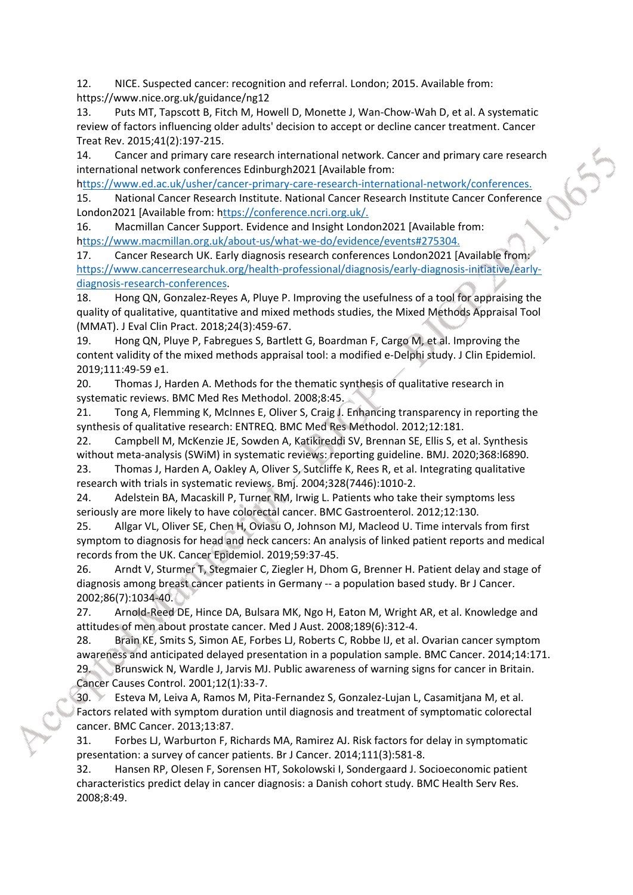12. NICE. Suspected cancer: recognition and referral. London; 2015. Available from: https://www.nice.org.uk/guidance/ng12

13. Puts MT, Tapscott B, Fitch M, Howell D, Monette J, Wan-Chow-Wah D, et al. A systematic review of factors influencing older adults' decision to accept or decline cancer treatment. Cancer Treat Rev. 2015;41(2):197-215.

14. Cancer and primary care research international network. Cancer and primary care research international network conferences Edinburgh2021 [Available from:

h<ttps://www.ed.ac.uk/usher/cancer-primary-care-research-international-network/conferences.> 15. National Cancer Research Institute. National Cancer Research Institute Cancer Conference London2021 [Available from: h<ttps://conference.ncri.org.uk/.>

16. Macmillan Cancer Support. Evidence and Insight London2021 [Available from: h<ttps://www.macmillan.org.uk/about-us/what-we-do/evidence/events#275304.>

17. Cancer Research UK. Early diagnosis research conferences London2021 [Available from: [https://www.cancerresearchuk.org/health-professional/diagnosis/early-diagnosis-initiative/early](https://www.cancerresearchuk.org/health-professional/diagnosis/early-diagnosis-initiative/early-diagnosis-research-conferences)[diagnosis-research-conferences](https://www.cancerresearchuk.org/health-professional/diagnosis/early-diagnosis-initiative/early-diagnosis-research-conferences).

18. Hong QN, Gonzalez-Reyes A, Pluye P. Improving the usefulness of a tool for appraising the quality of qualitative, quantitative and mixed methods studies, the Mixed Methods Appraisal Tool (MMAT). J Eval Clin Pract. 2018;24(3):459-67.

19. Hong QN, Pluye P, Fabregues S, Bartlett G, Boardman F, Cargo M, et al. Improving the content validity of the mixed methods appraisal tool: a modified e-Delphi study. J Clin Epidemiol. 2019;111:49-59 e1.

20. Thomas J, Harden A. Methods for the thematic synthesis of qualitative research in systematic reviews. BMC Med Res Methodol. 2008;8:45.

21. Tong A, Flemming K, McInnes E, Oliver S, Craig J. Enhancing transparency in reporting the synthesis of qualitative research: ENTREQ. BMC Med Res Methodol. 2012;12:181.

22. Campbell M, McKenzie JE, Sowden A, Katikireddi SV, Brennan SE, Ellis S, et al. Synthesis without meta-analysis (SWiM) in systematic reviews: reporting guideline. BMJ. 2020;368:l6890.

23. Thomas J, Harden A, Oakley A, Oliver S, Sutcliffe K, Rees R, et al. Integrating qualitative research with trials in systematic reviews. Bmj. 2004;328(7446):1010-2.

24. Adelstein BA, Macaskill P, Turner RM, Irwig L. Patients who take their symptoms less seriously are more likely to have colorectal cancer. BMC Gastroenterol. 2012;12:130.

25. Allgar VL, Oliver SE, Chen H, Oviasu O, Johnson MJ, Macleod U. Time intervals from first symptom to diagnosis for head and neck cancers: An analysis of linked patient reports and medical records from the UK. Cancer Epidemiol. 2019;59:37-45.

26. Arndt V, Sturmer T, Stegmaier C, Ziegler H, Dhom G, Brenner H. Patient delay and stage of diagnosis among breast cancer patients in Germany -- a population based study. Br J Cancer. 2002;86(7):1034-40.

27. Arnold-Reed DE, Hince DA, Bulsara MK, Ngo H, Eaton M, Wright AR, et al. Knowledge and attitudes of men about prostate cancer. Med J Aust. 2008;189(6):312-4.

28. Brain KE, Smits S, Simon AE, Forbes LJ, Roberts C, Robbe IJ, et al. Ovarian cancer symptom awareness and anticipated delayed presentation in a population sample. BMC Cancer. 2014;14:171. 29. Brunswick N, Wardle J, Jarvis MJ. Public awareness of warning signs for cancer in Britain. Cancer Causes Control. 2001;12(1):33-7.

30. Esteva M, Leiva A, Ramos M, Pita-Fernandez S, Gonzalez-Lujan L, Casamitjana M, et al. Factors related with symptom duration until diagnosis and treatment of symptomatic colorectal cancer. BMC Cancer. 2013;13:87.

31. Forbes LJ, Warburton F, Richards MA, Ramirez AJ. Risk factors for delay in symptomatic presentation: a survey of cancer patients. Br J Cancer. 2014;111(3):581-8.

32. Hansen RP, Olesen F, Sorensen HT, Sokolowski I, Sondergaard J. Socioeconomic patient characteristics predict delay in cancer diagnosis: a Danish cohort study. BMC Health Serv Res. 2008;8:49.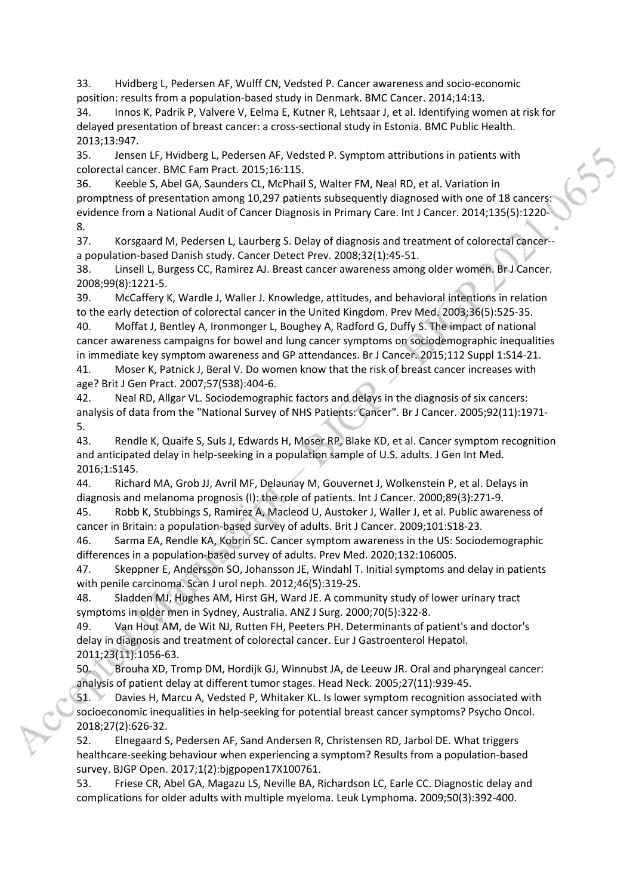33. Hvidberg L, Pedersen AF, Wulff CN, Vedsted P. Cancer awareness and socio-economic position: results from a population-based study in Denmark. BMC Cancer. 2014;14:13.

34. Innos K, Padrik P, Valvere V, Eelma E, Kutner R, Lehtsaar J, et al. Identifying women at risk for delayed presentation of breast cancer: a cross-sectional study in Estonia. BMC Public Health. 2013;13:947.

35. Jensen LF, Hvidberg L, Pedersen AF, Vedsted P. Symptom attributions in patients with colorectal cancer. BMC Fam Pract. 2015;16:115.

36. Keeble S, Abel GA, Saunders CL, McPhail S, Walter FM, Neal RD, et al. Variation in promptness of presentation among 10,297 patients subsequently diagnosed with one of 18 cancers: evidence from a National Audit of Cancer Diagnosis in Primary Care. Int J Cancer. 2014;135(5):1220- 8.

37. Korsgaard M, Pedersen L, Laurberg S. Delay of diagnosis and treatment of colorectal cancer- a population-based Danish study. Cancer Detect Prev. 2008;32(1):45-51.

38. Linsell L, Burgess CC, Ramirez AJ. Breast cancer awareness among older women. Br J Cancer. 2008;99(8):1221-5.

39. McCaffery K, Wardle J, Waller J. Knowledge, attitudes, and behavioral intentions in relation to the early detection of colorectal cancer in the United Kingdom. Prev Med. 2003;36(5):525-35.

40. Moffat J, Bentley A, Ironmonger L, Boughey A, Radford G, Duffy S. The impact of national cancer awareness campaigns for bowel and lung cancer symptoms on sociodemographic inequalities in immediate key symptom awareness and GP attendances. Br J Cancer. 2015;112 Suppl 1:S14-21.

41. Moser K, Patnick J, Beral V. Do women know that the risk of breast cancer increases with age? Brit J Gen Pract. 2007;57(538):404-6.

42. Neal RD, Allgar VL. Sociodemographic factors and delays in the diagnosis of six cancers: analysis of data from the "National Survey of NHS Patients: Cancer". Br J Cancer. 2005;92(11):1971- 5.

43. Rendle K, Quaife S, Suls J, Edwards H, Moser RP, Blake KD, et al. Cancer symptom recognition and anticipated delay in help-seeking in a population sample of U.S. adults. J Gen Int Med. 2016;1:S145.

44. Richard MA, Grob JJ, Avril MF, Delaunay M, Gouvernet J, Wolkenstein P, et al. Delays in diagnosis and melanoma prognosis (I): the role of patients. Int J Cancer. 2000;89(3):271-9.

45. Robb K, Stubbings S, Ramirez A, Macleod U, Austoker J, Waller J, et al. Public awareness of cancer in Britain: a population-based survey of adults. Brit J Cancer. 2009;101:S18-23.

46. Sarma EA, Rendle KA, Kobrin SC. Cancer symptom awareness in the US: Sociodemographic differences in a population-based survey of adults. Prev Med. 2020;132:106005.

47. Skeppner E, Andersson SO, Johansson JE, Windahl T. Initial symptoms and delay in patients with penile carcinoma. Scan J urol neph. 2012;46(5):319-25.

48. Sladden MJ, Hughes AM, Hirst GH, Ward JE. A community study of lower urinary tract symptoms in older men in Sydney, Australia. ANZ J Surg. 2000;70(5):322-8.

49. Van Hout AM, de Wit NJ, Rutten FH, Peeters PH. Determinants of patient's and doctor's delay in diagnosis and treatment of colorectal cancer. Eur J Gastroenterol Hepatol. 2011;23(11):1056-63.

50. Brouha XD, Tromp DM, Hordijk GJ, Winnubst JA, de Leeuw JR. Oral and pharyngeal cancer: analysis of patient delay at different tumor stages. Head Neck. 2005;27(11):939-45.

51. Davies H, Marcu A, Vedsted P, Whitaker KL. Is lower symptom recognition associated with socioeconomic inequalities in help-seeking for potential breast cancer symptoms? Psycho Oncol. 2018;27(2):626-32.

52. Elnegaard S, Pedersen AF, Sand Andersen R, Christensen RD, Jarbol DE. What triggers healthcare-seeking behaviour when experiencing a symptom? Results from a population-based survey. BJGP Open. 2017;1(2):bjgpopen17X100761.

53. Friese CR, Abel GA, Magazu LS, Neville BA, Richardson LC, Earle CC. Diagnostic delay and complications for older adults with multiple myeloma. Leuk Lymphoma. 2009;50(3):392-400.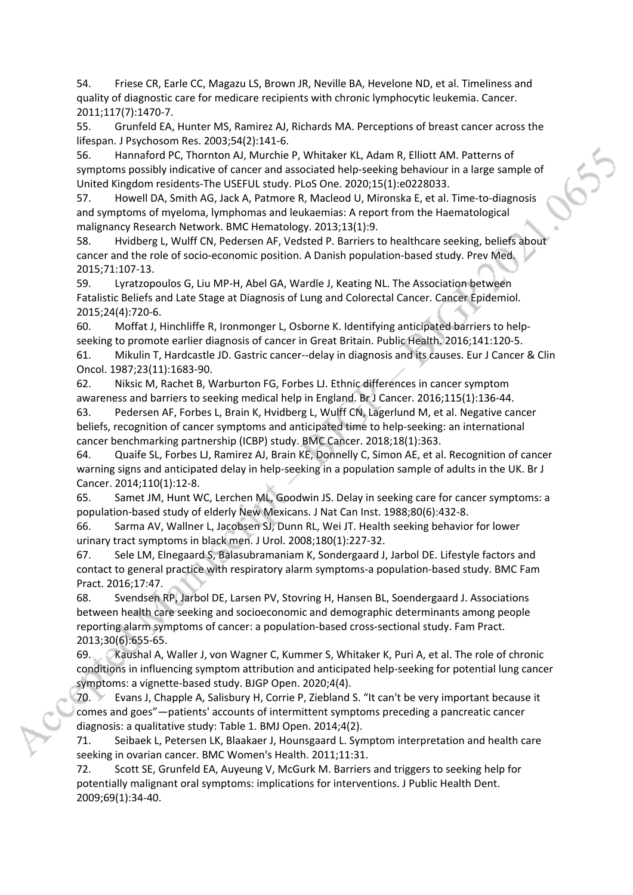54. Friese CR, Earle CC, Magazu LS, Brown JR, Neville BA, Hevelone ND, et al. Timeliness and quality of diagnostic care for medicare recipients with chronic lymphocytic leukemia. Cancer. 2011;117(7):1470-7.

55. Grunfeld EA, Hunter MS, Ramirez AJ, Richards MA. Perceptions of breast cancer across the lifespan. J Psychosom Res. 2003;54(2):141-6.

56. Hannaford PC, Thornton AJ, Murchie P, Whitaker KL, Adam R, Elliott AM. Patterns of symptoms possibly indicative of cancer and associated help-seeking behaviour in a large sample of United Kingdom residents-The USEFUL study. PLoS One. 2020;15(1):e0228033.

57. Howell DA, Smith AG, Jack A, Patmore R, Macleod U, Mironska E, et al. Time-to-diagnosis and symptoms of myeloma, lymphomas and leukaemias: A report from the Haematological malignancy Research Network. BMC Hematology. 2013;13(1):9.

58. Hvidberg L, Wulff CN, Pedersen AF, Vedsted P. Barriers to healthcare seeking, beliefs about cancer and the role of socio-economic position. A Danish population-based study. Prev Med. 2015;71:107-13.

59. Lyratzopoulos G, Liu MP-H, Abel GA, Wardle J, Keating NL. The Association between Fatalistic Beliefs and Late Stage at Diagnosis of Lung and Colorectal Cancer. Cancer Epidemiol. 2015;24(4):720-6.

60. Moffat J, Hinchliffe R, Ironmonger L, Osborne K. Identifying anticipated barriers to helpseeking to promote earlier diagnosis of cancer in Great Britain. Public Health. 2016;141:120-5.

61. Mikulin T, Hardcastle JD. Gastric cancer--delay in diagnosis and its causes. Eur J Cancer & Clin Oncol. 1987;23(11):1683-90.

62. Niksic M, Rachet B, Warburton FG, Forbes LJ. Ethnic differences in cancer symptom awareness and barriers to seeking medical help in England. Br J Cancer. 2016;115(1):136-44.

63. Pedersen AF, Forbes L, Brain K, Hvidberg L, Wulff CN, Lagerlund M, et al. Negative cancer beliefs, recognition of cancer symptoms and anticipated time to help-seeking: an international cancer benchmarking partnership (ICBP) study. BMC Cancer. 2018;18(1):363.

64. Quaife SL, Forbes LJ, Ramirez AJ, Brain KE, Donnelly C, Simon AE, et al. Recognition of cancer warning signs and anticipated delay in help-seeking in a population sample of adults in the UK. Br J Cancer. 2014;110(1):12-8.

65. Samet JM, Hunt WC, Lerchen ML, Goodwin JS. Delay in seeking care for cancer symptoms: a population-based study of elderly New Mexicans. J Nat Can Inst. 1988;80(6):432-8.

66. Sarma AV, Wallner L, Jacobsen SJ, Dunn RL, Wei JT. Health seeking behavior for lower urinary tract symptoms in black men. J Urol. 2008;180(1):227-32.

67. Sele LM, Elnegaard S, Balasubramaniam K, Sondergaard J, Jarbol DE. Lifestyle factors and contact to general practice with respiratory alarm symptoms-a population-based study. BMC Fam Pract. 2016;17:47.

68. Svendsen RP, Jarbol DE, Larsen PV, Stovring H, Hansen BL, Soendergaard J. Associations between health care seeking and socioeconomic and demographic determinants among people reporting alarm symptoms of cancer: a population-based cross-sectional study. Fam Pract. 2013;30(6):655-65.

69. Kaushal A, Waller J, von Wagner C, Kummer S, Whitaker K, Puri A, et al. The role of chronic conditions in influencing symptom attribution and anticipated help-seeking for potential lung cancer symptoms: a vignette-based study. BJGP Open. 2020;4(4).

70. Evans J, Chapple A, Salisbury H, Corrie P, Ziebland S. "It can't be very important because it comes and goes"—patients' accounts of intermittent symptoms preceding a pancreatic cancer diagnosis: a qualitative study: Table 1. BMJ Open. 2014;4(2).

71. Seibaek L, Petersen LK, Blaakaer J, Hounsgaard L. Symptom interpretation and health care seeking in ovarian cancer. BMC Women's Health. 2011;11:31.

72. Scott SE, Grunfeld EA, Auyeung V, McGurk M. Barriers and triggers to seeking help for potentially malignant oral symptoms: implications for interventions. J Public Health Dent. 2009;69(1):34-40.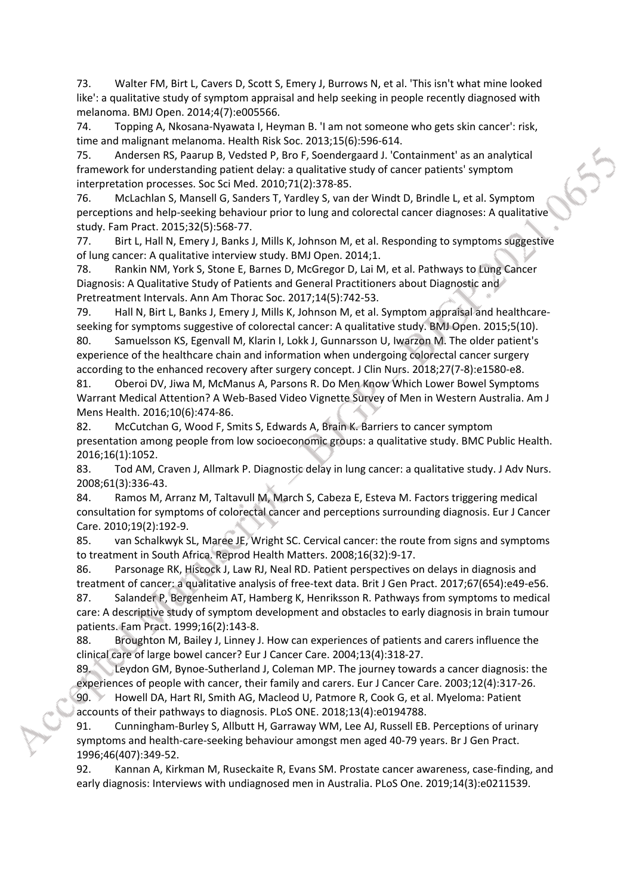73. Walter FM, Birt L, Cavers D, Scott S, Emery J, Burrows N, et al. 'This isn't what mine looked like': a qualitative study of symptom appraisal and help seeking in people recently diagnosed with melanoma. BMJ Open. 2014;4(7):e005566.

74. Topping A, Nkosana-Nyawata I, Heyman B. 'I am not someone who gets skin cancer': risk, time and malignant melanoma. Health Risk Soc. 2013;15(6):596-614.

75. Andersen RS, Paarup B, Vedsted P, Bro F, Soendergaard J. 'Containment' as an analytical framework for understanding patient delay: a qualitative study of cancer patients' symptom interpretation processes. Soc Sci Med. 2010;71(2):378-85.

76. McLachlan S, Mansell G, Sanders T, Yardley S, van der Windt D, Brindle L, et al. Symptom perceptions and help-seeking behaviour prior to lung and colorectal cancer diagnoses: A qualitative study. Fam Pract. 2015;32(5):568-77.

77. Birt L, Hall N, Emery J, Banks J, Mills K, Johnson M, et al. Responding to symptoms suggestive of lung cancer: A qualitative interview study. BMJ Open. 2014;1.

78. Rankin NM, York S, Stone E, Barnes D, McGregor D, Lai M, et al. Pathways to Lung Cancer Diagnosis: A Qualitative Study of Patients and General Practitioners about Diagnostic and Pretreatment Intervals. Ann Am Thorac Soc. 2017;14(5):742-53.

79. Hall N, Birt L, Banks J, Emery J, Mills K, Johnson M, et al. Symptom appraisal and healthcareseeking for symptoms suggestive of colorectal cancer: A qualitative study. BMJ Open. 2015;5(10).

80. Samuelsson KS, Egenvall M, Klarin I, Lokk J, Gunnarsson U, Iwarzon M. The older patient's experience of the healthcare chain and information when undergoing colorectal cancer surgery according to the enhanced recovery after surgery concept. J Clin Nurs. 2018;27(7-8):e1580-e8.

81. Oberoi DV, Jiwa M, McManus A, Parsons R. Do Men Know Which Lower Bowel Symptoms Warrant Medical Attention? A Web-Based Video Vignette Survey of Men in Western Australia. Am J Mens Health. 2016;10(6):474-86.

82. McCutchan G, Wood F, Smits S, Edwards A, Brain K. Barriers to cancer symptom presentation among people from low socioeconomic groups: a qualitative study. BMC Public Health. 2016;16(1):1052.

83. Tod AM, Craven J, Allmark P. Diagnostic delay in lung cancer: a qualitative study. J Adv Nurs. 2008;61(3):336-43.

84. Ramos M, Arranz M, Taltavull M, March S, Cabeza E, Esteva M. Factors triggering medical consultation for symptoms of colorectal cancer and perceptions surrounding diagnosis. Eur J Cancer Care. 2010;19(2):192-9.

85. van Schalkwyk SL, Maree JE, Wright SC. Cervical cancer: the route from signs and symptoms to treatment in South Africa. Reprod Health Matters. 2008;16(32):9-17.

86. Parsonage RK, Hiscock J, Law RJ, Neal RD. Patient perspectives on delays in diagnosis and treatment of cancer: a qualitative analysis of free-text data. Brit J Gen Pract. 2017;67(654):e49-e56. 87. Salander P, Bergenheim AT, Hamberg K, Henriksson R. Pathways from symptoms to medical

care: A descriptive study of symptom development and obstacles to early diagnosis in brain tumour patients. Fam Pract. 1999;16(2):143-8.

88. Broughton M, Bailey J, Linney J. How can experiences of patients and carers influence the clinical care of large bowel cancer? Eur J Cancer Care. 2004;13(4):318-27.

89. Leydon GM, Bynoe-Sutherland J, Coleman MP. The journey towards a cancer diagnosis: the experiences of people with cancer, their family and carers. Eur J Cancer Care. 2003;12(4):317-26.

90. Howell DA, Hart RI, Smith AG, Macleod U, Patmore R, Cook G, et al. Myeloma: Patient accounts of their pathways to diagnosis. PLoS ONE. 2018;13(4):e0194788.

91. Cunningham-Burley S, Allbutt H, Garraway WM, Lee AJ, Russell EB. Perceptions of urinary symptoms and health-care-seeking behaviour amongst men aged 40-79 years. Br J Gen Pract. 1996;46(407):349-52.

92. Kannan A, Kirkman M, Ruseckaite R, Evans SM. Prostate cancer awareness, case-finding, and early diagnosis: Interviews with undiagnosed men in Australia. PLoS One. 2019;14(3):e0211539.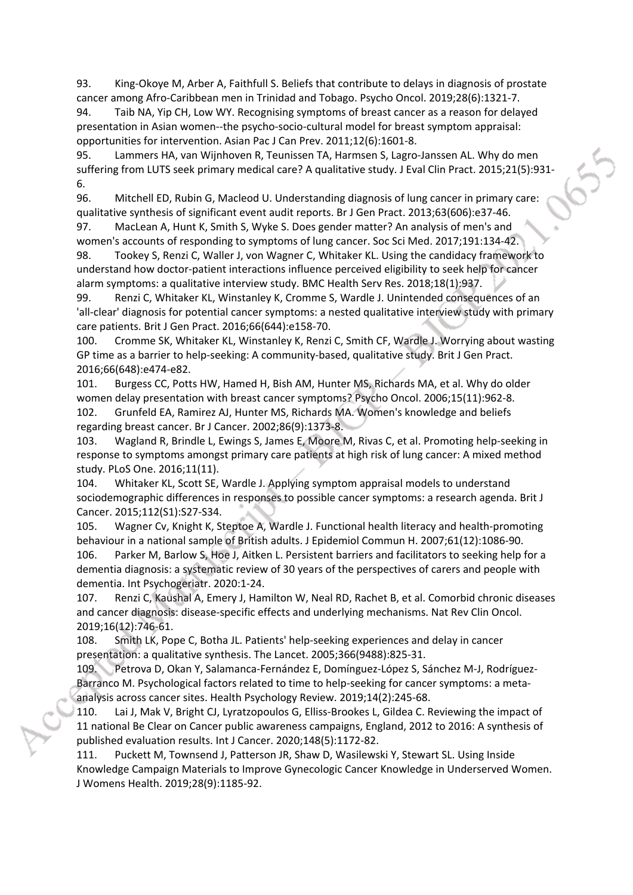93. King-Okoye M, Arber A, Faithfull S. Beliefs that contribute to delays in diagnosis of prostate cancer among Afro-Caribbean men in Trinidad and Tobago. Psycho Oncol. 2019;28(6):1321-7.

94. Taib NA, Yip CH, Low WY. Recognising symptoms of breast cancer as a reason for delayed presentation in Asian women--the psycho-socio-cultural model for breast symptom appraisal: opportunities for intervention. Asian Pac J Can Prev. 2011;12(6):1601-8.

95. Lammers HA, van Wijnhoven R, Teunissen TA, Harmsen S, Lagro-Janssen AL. Why do men suffering from LUTS seek primary medical care? A qualitative study. J Eval Clin Pract. 2015;21(5):931- 6.

96. Mitchell ED, Rubin G, Macleod U. Understanding diagnosis of lung cancer in primary care: qualitative synthesis of significant event audit reports. Br J Gen Pract. 2013;63(606):e37-46.

97. MacLean A, Hunt K, Smith S, Wyke S. Does gender matter? An analysis of men's and women's accounts of responding to symptoms of lung cancer. Soc Sci Med. 2017;191:134-42.

98. Tookey S, Renzi C, Waller J, von Wagner C, Whitaker KL. Using the candidacy framework to understand how doctor-patient interactions influence perceived eligibility to seek help for cancer alarm symptoms: a qualitative interview study. BMC Health Serv Res. 2018;18(1):937.

99. Renzi C, Whitaker KL, Winstanley K, Cromme S, Wardle J. Unintended consequences of an 'all-clear' diagnosis for potential cancer symptoms: a nested qualitative interview study with primary care patients. Brit J Gen Pract. 2016;66(644):e158-70.

100. Cromme SK, Whitaker KL, Winstanley K, Renzi C, Smith CF, Wardle J. Worrying about wasting GP time as a barrier to help-seeking: A community-based, qualitative study. Brit J Gen Pract. 2016;66(648):e474-e82.

101. Burgess CC, Potts HW, Hamed H, Bish AM, Hunter MS, Richards MA, et al. Why do older women delay presentation with breast cancer symptoms? Psycho Oncol. 2006;15(11):962-8. 102. Grunfeld EA, Ramirez AJ, Hunter MS, Richards MA. Women's knowledge and beliefs regarding breast cancer. Br J Cancer. 2002;86(9):1373-8.

103. Wagland R, Brindle L, Ewings S, James E, Moore M, Rivas C, et al. Promoting help-seeking in response to symptoms amongst primary care patients at high risk of lung cancer: A mixed method study. PLoS One. 2016;11(11).

104. Whitaker KL, Scott SE, Wardle J. Applying symptom appraisal models to understand sociodemographic differences in responses to possible cancer symptoms: a research agenda. Brit J Cancer. 2015;112(S1):S27-S34.

105. Wagner Cv, Knight K, Steptoe A, Wardle J. Functional health literacy and health-promoting behaviour in a national sample of British adults. J Epidemiol Commun H. 2007;61(12):1086-90. 106. Parker M, Barlow S, Hoe J, Aitken L. Persistent barriers and facilitators to seeking help for a dementia diagnosis: a systematic review of 30 years of the perspectives of carers and people with dementia. Int Psychogeriatr. 2020:1-24.

107. Renzi C, Kaushal A, Emery J, Hamilton W, Neal RD, Rachet B, et al. Comorbid chronic diseases and cancer diagnosis: disease-specific effects and underlying mechanisms. Nat Rev Clin Oncol. 2019;16(12):746-61.

108. Smith LK, Pope C, Botha JL. Patients' help-seeking experiences and delay in cancer presentation: a qualitative synthesis. The Lancet. 2005;366(9488):825-31.

109. Petrova D, Okan Y, Salamanca-Fernández E, Domínguez-López S, Sánchez M-J, Rodríguez-Barranco M. Psychological factors related to time to help-seeking for cancer symptoms: a metaanalysis across cancer sites. Health Psychology Review. 2019;14(2):245-68.

110. Lai J, Mak V, Bright CJ, Lyratzopoulos G, Elliss-Brookes L, Gildea C. Reviewing the impact of 11 national Be Clear on Cancer public awareness campaigns, England, 2012 to 2016: A synthesis of published evaluation results. Int J Cancer. 2020;148(5):1172-82.

111. Puckett M, Townsend J, Patterson JR, Shaw D, Wasilewski Y, Stewart SL. Using Inside Knowledge Campaign Materials to Improve Gynecologic Cancer Knowledge in Underserved Women. J Womens Health. 2019;28(9):1185-92.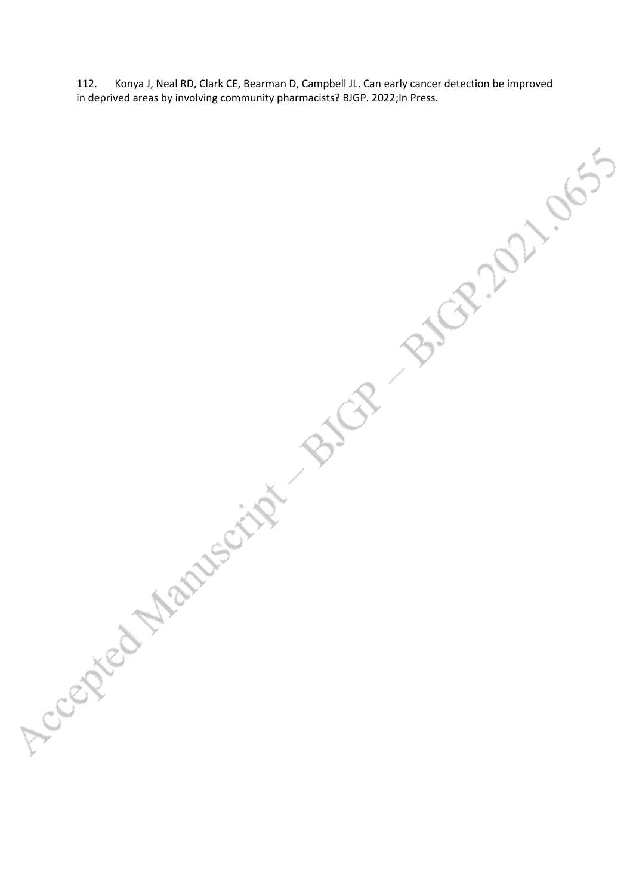112. Konya J, Neal RD, Clark CE, Bearman D, Campbell JL. Can early cancer detection be improved in deprived areas by involving community pharmacists? BJGP. 2022;In Press.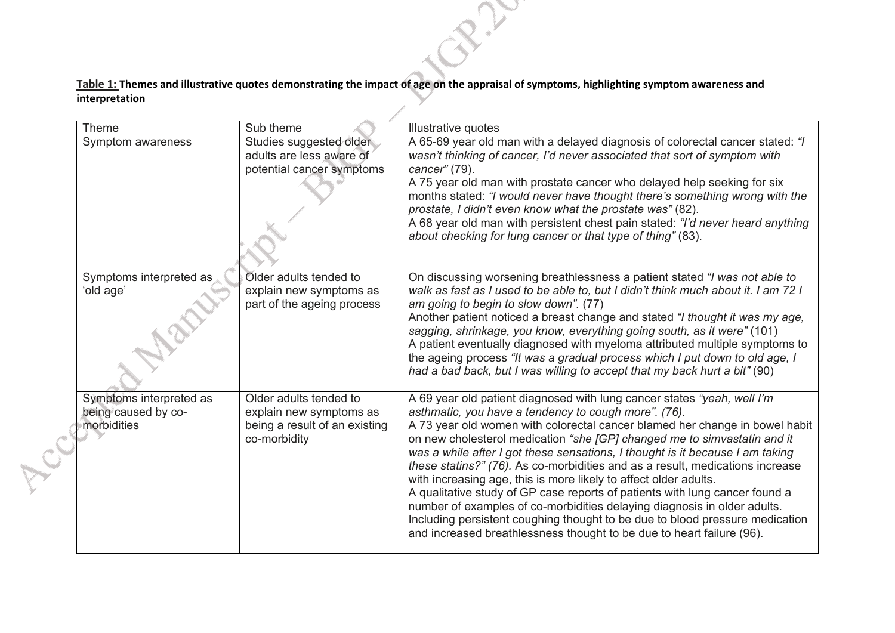**Table 1: Themes and illustrative quotes demonstrating the impact of age on the appraisal of symptoms, highlighting symptom awareness and interpretation** 

 $\sim$ 

|  | Theme                                                         | Sub theme                                                                                          | Illustrative quotes                                                                                                                                                                                                                                                                                                                                                                                                                                                                                                                                                                                                                                                                                                                                                                                                                                  |
|--|---------------------------------------------------------------|----------------------------------------------------------------------------------------------------|------------------------------------------------------------------------------------------------------------------------------------------------------------------------------------------------------------------------------------------------------------------------------------------------------------------------------------------------------------------------------------------------------------------------------------------------------------------------------------------------------------------------------------------------------------------------------------------------------------------------------------------------------------------------------------------------------------------------------------------------------------------------------------------------------------------------------------------------------|
|  | Symptom awareness                                             | Studies suggested older<br>adults are less aware of<br>potential cancer symptoms                   | A 65-69 year old man with a delayed diagnosis of colorectal cancer stated: "I<br>wasn't thinking of cancer, I'd never associated that sort of symptom with<br>cancer" (79).<br>A 75 year old man with prostate cancer who delayed help seeking for six<br>months stated: "I would never have thought there's something wrong with the<br>prostate, I didn't even know what the prostate was" (82).<br>A 68 year old man with persistent chest pain stated: "I'd never heard anything<br>about checking for lung cancer or that type of thing" (83).                                                                                                                                                                                                                                                                                                  |
|  | Symptoms interpreted as<br>'old age'                          | Older adults tended to<br>explain new symptoms as<br>part of the ageing process                    | On discussing worsening breathlessness a patient stated "I was not able to<br>walk as fast as I used to be able to, but I didn't think much about it. I am 72 I<br>am going to begin to slow down". (77)<br>Another patient noticed a breast change and stated "I thought it was my age,<br>sagging, shrinkage, you know, everything going south, as it were" (101)<br>A patient eventually diagnosed with myeloma attributed multiple symptoms to<br>the ageing process "It was a gradual process which I put down to old age, I<br>had a bad back, but I was willing to accept that my back hurt a bit" (90)                                                                                                                                                                                                                                       |
|  | Symptoms interpreted as<br>being caused by co-<br>morbidities | Older adults tended to<br>explain new symptoms as<br>being a result of an existing<br>co-morbidity | A 69 year old patient diagnosed with lung cancer states "yeah, well I'm<br>asthmatic, you have a tendency to cough more". (76).<br>A 73 year old women with colorectal cancer blamed her change in bowel habit<br>on new cholesterol medication "she [GP] changed me to simvastatin and it<br>was a while after I got these sensations, I thought is it because I am taking<br>these statins?" (76). As co-morbidities and as a result, medications increase<br>with increasing age, this is more likely to affect older adults.<br>A qualitative study of GP case reports of patients with lung cancer found a<br>number of examples of co-morbidities delaying diagnosis in older adults.<br>Including persistent coughing thought to be due to blood pressure medication<br>and increased breathlessness thought to be due to heart failure (96). |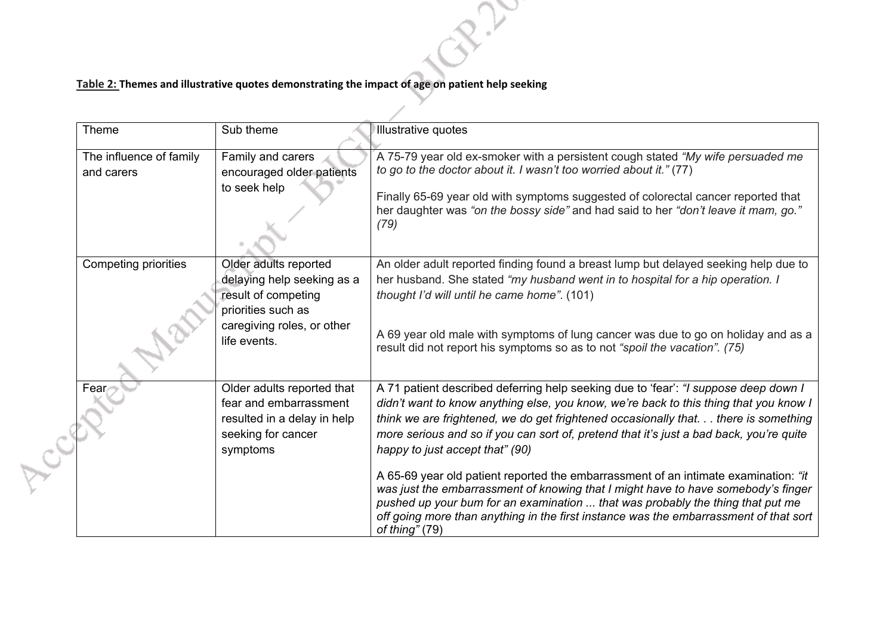## **Table 2: Themes and illustrative quotes demonstrating the impact of age on patient help seeking**

| Theme                                 | Sub theme                                                                                                                                      | Illustrative quotes                                                                                                                                                                                                                                                                                                                                                                                                                                                                                                                                                                                                                                                                                                                                                          |
|---------------------------------------|------------------------------------------------------------------------------------------------------------------------------------------------|------------------------------------------------------------------------------------------------------------------------------------------------------------------------------------------------------------------------------------------------------------------------------------------------------------------------------------------------------------------------------------------------------------------------------------------------------------------------------------------------------------------------------------------------------------------------------------------------------------------------------------------------------------------------------------------------------------------------------------------------------------------------------|
| The influence of family<br>and carers | Family and carers<br>encouraged older patients<br>to seek help                                                                                 | A 75-79 year old ex-smoker with a persistent cough stated "My wife persuaded me<br>to go to the doctor about it. I wasn't too worried about it." (77)<br>Finally 65-69 year old with symptoms suggested of colorectal cancer reported that<br>her daughter was "on the bossy side" and had said to her "don't leave it mam, go."<br>(79)                                                                                                                                                                                                                                                                                                                                                                                                                                     |
| Competing priorities                  | Older adults reported<br>delaying help seeking as a<br>result of competing<br>priorities such as<br>caregiving roles, or other<br>life events. | An older adult reported finding found a breast lump but delayed seeking help due to<br>her husband. She stated "my husband went in to hospital for a hip operation. I<br>thought I'd will until he came home". (101)<br>A 69 year old male with symptoms of lung cancer was due to go on holiday and as a<br>result did not report his symptoms so as to not "spoil the vacation". (75)                                                                                                                                                                                                                                                                                                                                                                                      |
| Fear                                  | Older adults reported that<br>fear and embarrassment<br>resulted in a delay in help<br>seeking for cancer<br>symptoms                          | A 71 patient described deferring help seeking due to 'fear': "I suppose deep down I<br>didn't want to know anything else, you know, we're back to this thing that you know I<br>think we are frightened, we do get frightened occasionally that. there is something<br>more serious and so if you can sort of, pretend that it's just a bad back, you're quite<br>happy to just accept that" (90)<br>A 65-69 year old patient reported the embarrassment of an intimate examination: "it<br>was just the embarrassment of knowing that I might have to have somebody's finger<br>pushed up your bum for an examination  that was probably the thing that put me<br>off going more than anything in the first instance was the embarrassment of that sort<br>of thing" $(79)$ |

 $\sim$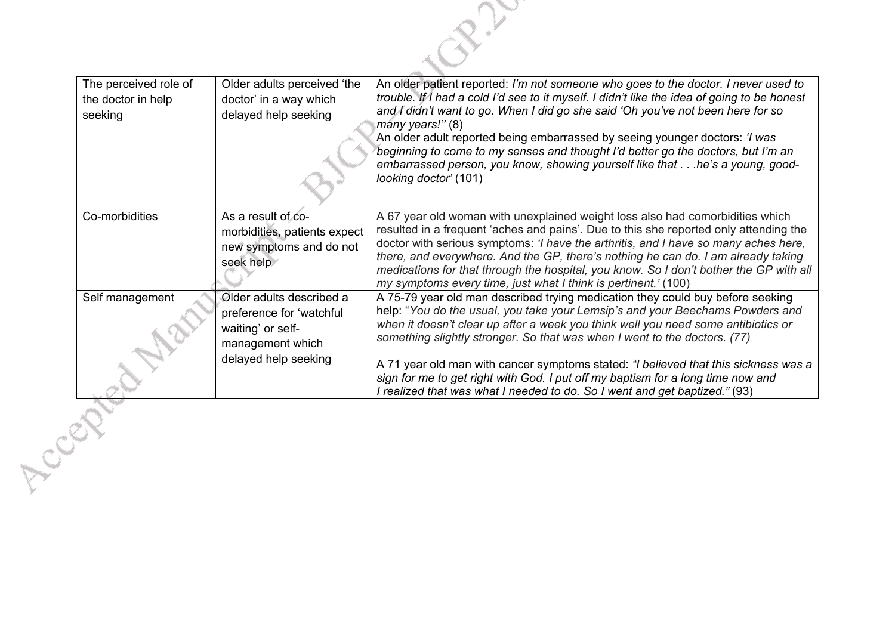

| The perceived role of<br>the doctor in help<br>seeking | Older adults perceived 'the<br>doctor' in a way which<br>delayed help seeking                                         | An older patient reported: I'm not someone who goes to the doctor. I never used to<br>trouble. If I had a cold I'd see to it myself. I didn't like the idea of going to be honest<br>and I didn't want to go. When I did go she said 'Oh you've not been here for so<br>many years!" (8)<br>An older adult reported being embarrassed by seeing younger doctors: 'I was<br>beginning to come to my senses and thought I'd better go the doctors, but I'm an<br>embarrassed person, you know, showing yourself like that he's a young, good-<br>looking doctor' (101)                      |
|--------------------------------------------------------|-----------------------------------------------------------------------------------------------------------------------|-------------------------------------------------------------------------------------------------------------------------------------------------------------------------------------------------------------------------------------------------------------------------------------------------------------------------------------------------------------------------------------------------------------------------------------------------------------------------------------------------------------------------------------------------------------------------------------------|
| Co-morbidities                                         | As a result of co-<br>morbidities, patients expect<br>new symptoms and do not<br>seek help                            | A 67 year old woman with unexplained weight loss also had comorbidities which<br>resulted in a frequent 'aches and pains'. Due to this she reported only attending the<br>doctor with serious symptoms: 'I have the arthritis, and I have so many aches here,<br>there, and everywhere. And the GP, there's nothing he can do. I am already taking<br>medications for that through the hospital, you know. So I don't bother the GP with all<br>my symptoms every time, just what I think is pertinent.' (100)                                                                            |
| Self management                                        | Older adults described a<br>preference for 'watchful<br>waiting' or self-<br>management which<br>delayed help seeking | A 75-79 year old man described trying medication they could buy before seeking<br>help: "You do the usual, you take your Lemsip's and your Beechams Powders and<br>when it doesn't clear up after a week you think well you need some antibiotics or<br>something slightly stronger. So that was when I went to the doctors. (77)<br>A 71 year old man with cancer symptoms stated: "I believed that this sickness was a<br>sign for me to get right with God. I put off my baptism for a long time now and<br>I realized that was what I needed to do. So I went and get baptized." (93) |
|                                                        |                                                                                                                       |                                                                                                                                                                                                                                                                                                                                                                                                                                                                                                                                                                                           |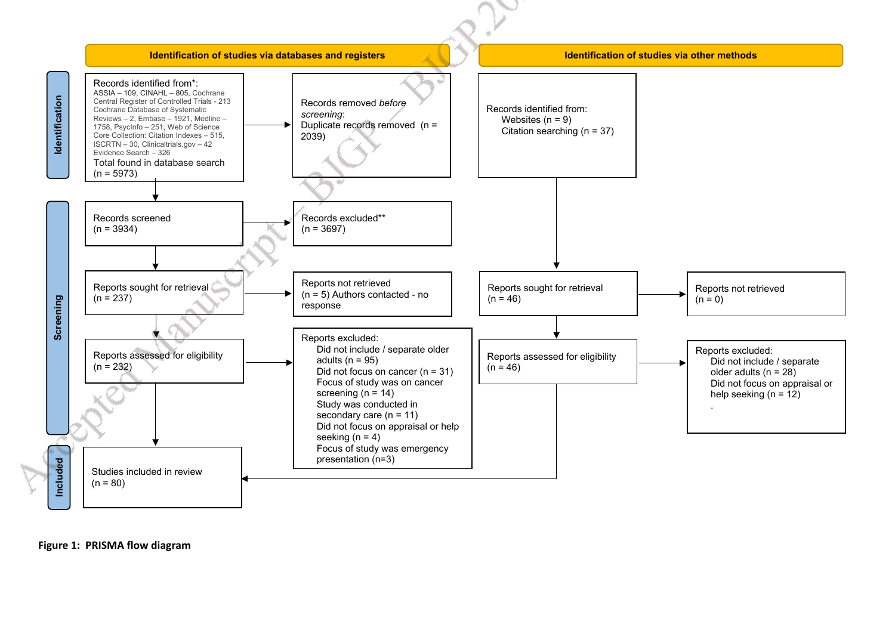

**Figure 1: PRISMA flow diagram**